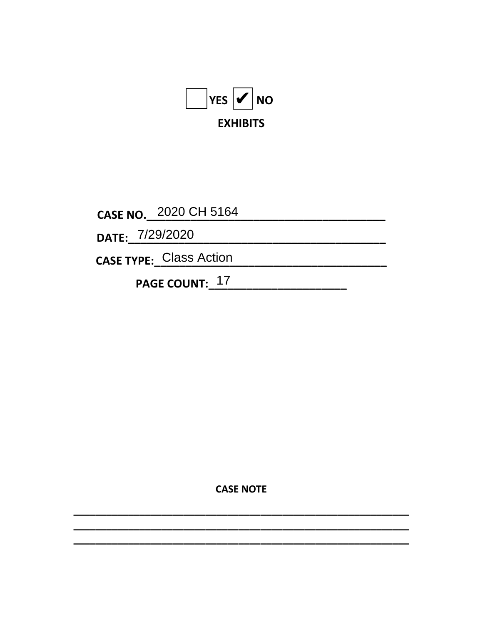

CASE NO. 2020 CH 5164

DATE: 7/29/2020

CASE TYPE: Class Action

PAGE COUNT: 17

**CASE NOTE**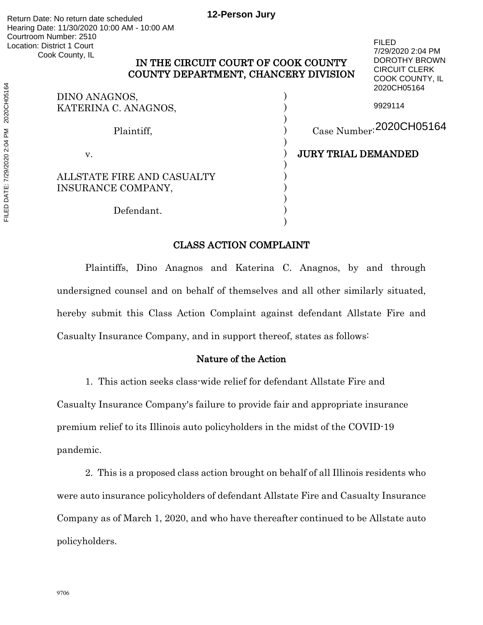# IN THE CIRCUIT COURT OF COOK COUNTY COUNTY DEPARTMENT, CHANCERY DIVISION

|                            | 2020CH05164                |
|----------------------------|----------------------------|
| DINO ANAGNOS,              |                            |
| KATERINA C. ANAGNOS,       | 9929114                    |
| Plaintiff,                 | Case Number: 2020CH05164   |
| V.                         | <b>JURY TRIAL DEMANDED</b> |
|                            |                            |
| ALLSTATE FIRE AND CASUALTY |                            |
| INSURANCE COMPANY,         |                            |
|                            |                            |
| Defendant.                 |                            |

## CLASS ACTION COMPLAINT

)

FILED

7/29/2020 2:04 PM DOROTHY BROWN CIRCUIT CLERK COOK COUNTY, IL

Plaintiffs, Dino Anagnos and Katerina C. Anagnos, by and through undersigned counsel and on behalf of themselves and all other similarly situated, hereby submit this Class Action Complaint against defendant Allstate Fire and Casualty Insurance Company, and in support thereof, states as follows:

## Nature of the Action

1. This action seeks class-wide relief for defendant Allstate Fire and

Casualty Insurance Company's failure to provide fair and appropriate insurance premium relief to its Illinois auto policyholders in the midst of the COVID-19 pandemic.

2. This is a proposed class action brought on behalf of all Illinois residents who were auto insurance policyholders of defendant Allstate Fire and Casualty Insurance Company as of March 1, 2020, and who have thereafter continued to be Allstate auto policyholders.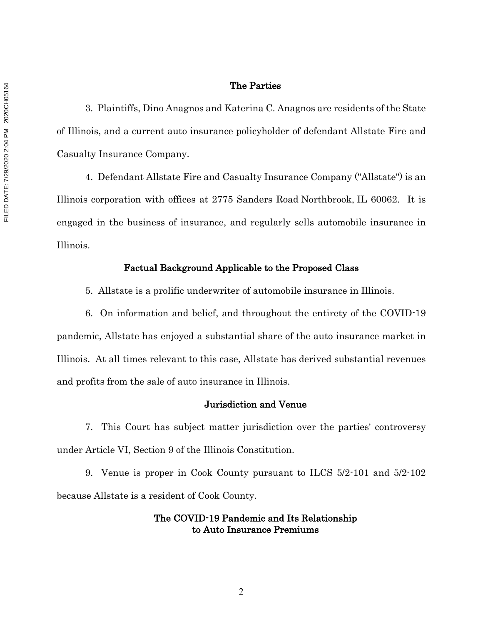#### The Parties

3. Plaintiffs, Dino Anagnos and Katerina C. Anagnos are residents of the State of Illinois, and a current auto insurance policyholder of defendant Allstate Fire and Casualty Insurance Company.

4. Defendant Allstate Fire and Casualty Insurance Company ("Allstate") is an Illinois corporation with offices at 2775 Sanders Road Northbrook, IL 60062. It is engaged in the business of insurance, and regularly sells automobile insurance in Illinois.

### Factual Background Applicable to the Proposed Class

5. Allstate is a prolific underwriter of automobile insurance in Illinois.

6. On information and belief, and throughout the entirety of the COVID-19 pandemic, Allstate has enjoyed a substantial share of the auto insurance market in Illinois. At all times relevant to this case, Allstate has derived substantial revenues and profits from the sale of auto insurance in Illinois.

### Jurisdiction and Venue

7. This Court has subject matter jurisdiction over the parties' controversy under Article VI, Section 9 of the Illinois Constitution.

9. Venue is proper in Cook County pursuant to ILCS 5/2-101 and 5/2-102 because Allstate is a resident of Cook County.

## The COVID-19 Pandemic and Its Relationship to Auto Insurance Premiums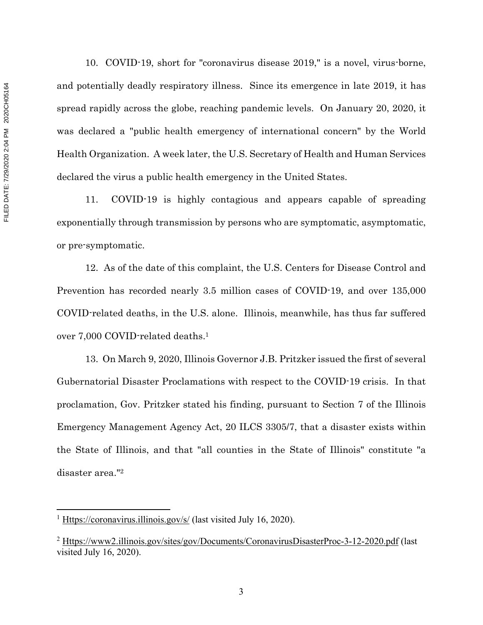10. COVID-19, short for "coronavirus disease 2019," is a novel, virus-borne, and potentially deadly respiratory illness. Since its emergence in late 2019, it has spread rapidly across the globe, reaching pandemic levels. On January 20, 2020, it was declared a "public health emergency of international concern" by the World Health Organization. A week later, the U.S. Secretary of Health and Human Services declared the virus a public health emergency in the United States.

11. COVID-19 is highly contagious and appears capable of spreading exponentially through transmission by persons who are symptomatic, asymptomatic, or pre-symptomatic.

12. As of the date of this complaint, the U.S. Centers for Disease Control and Prevention has recorded nearly 3.5 million cases of COVID-19, and over 135,000 COVID-related deaths, in the U.S. alone. Illinois, meanwhile, has thus far suffered over 7,000 COVID-related deaths.1

13. On March 9, 2020, Illinois Governor J.B. Pritzker issued the first of several Gubernatorial Disaster Proclamations with respect to the COVID-19 crisis. In that proclamation, Gov. Pritzker stated his finding, pursuant to Section 7 of the Illinois Emergency Management Agency Act, 20 ILCS 3305/7, that a disaster exists within the State of Illinois, and that "all counties in the State of Illinois" constitute "a disaster area."2

<sup>&</sup>lt;sup>1</sup> Https://coronavirus.illinois.gov/s/ (last visited July 16, 2020).

<sup>2</sup> Https://www2.illinois.gov/sites/gov/Documents/CoronavirusDisasterProc-3-12-2020.pdf (last visited July 16, 2020).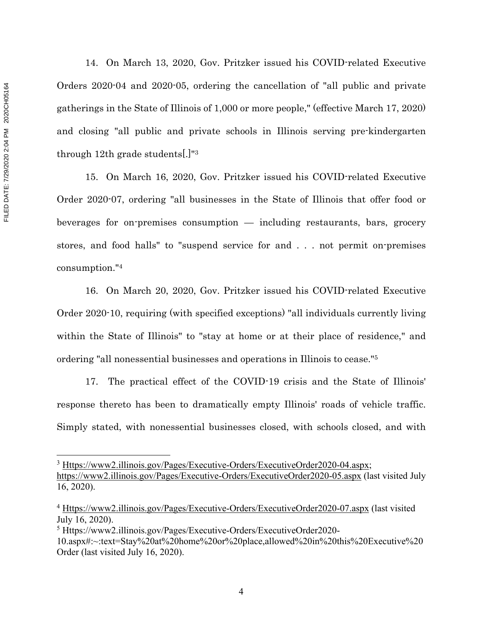14. On March 13, 2020, Gov. Pritzker issued his COVID-related Executive Orders 2020-04 and 2020-05, ordering the cancellation of "all public and private gatherings in the State of Illinois of 1,000 or more people," (effective March 17, 2020) and closing "all public and private schools in Illinois serving pre-kindergarten through 12th grade students[.]"3

15. On March 16, 2020, Gov. Pritzker issued his COVID-related Executive Order 2020-07, ordering "all businesses in the State of Illinois that offer food or beverages for on-premises consumption — including restaurants, bars, grocery stores, and food halls" to "suspend service for and . . . not permit on-premises consumption."4

16. On March 20, 2020, Gov. Pritzker issued his COVID-related Executive Order 2020-10, requiring (with specified exceptions) "all individuals currently living within the State of Illinois" to "stay at home or at their place of residence," and ordering "all nonessential businesses and operations in Illinois to cease."5

17. The practical effect of the COVID-19 crisis and the State of Illinois' response thereto has been to dramatically empty Illinois' roads of vehicle traffic. Simply stated, with nonessential businesses closed, with schools closed, and with

<sup>3</sup> Https://www2.illinois.gov/Pages/Executive-Orders/ExecutiveOrder2020-04.aspx; https://www2.illinois.gov/Pages/Executive-Orders/ExecutiveOrder2020-05.aspx (last visited July 16, 2020).

<sup>4</sup> Https://www2.illinois.gov/Pages/Executive-Orders/ExecutiveOrder2020-07.aspx (last visited July 16, 2020).

<sup>5</sup> Https://www2.illinois.gov/Pages/Executive-Orders/ExecutiveOrder2020-

<sup>10.</sup>aspx#:~:text=Stay%20at%20home%20or%20place,allowed%20in%20this%20Executive%20 Order (last visited July 16, 2020).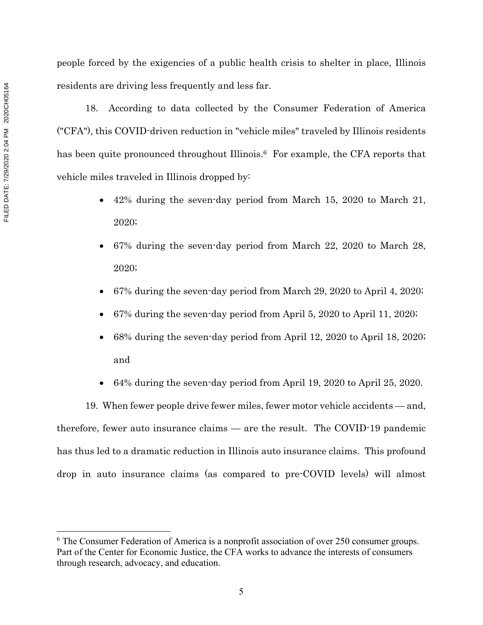people forced by the exigencies of a public health crisis to shelter in place, Illinois residents are driving less frequently and less far.

18. According to data collected by the Consumer Federation of America ("CFA"), this COVID-driven reduction in "vehicle miles" traveled by Illinois residents has been quite pronounced throughout Illinois.<sup>6</sup> For example, the CFA reports that vehicle miles traveled in Illinois dropped by:

- 42% during the seven-day period from March 15, 2020 to March 21, 2020;
- 67% during the seven-day period from March 22, 2020 to March 28, 2020;
- 67% during the seven-day period from March 29, 2020 to April 4, 2020;
- 67% during the seven-day period from April 5, 2020 to April 11, 2020;
- 68% during the seven-day period from April 12, 2020 to April 18, 2020; and
- 64% during the seven-day period from April 19, 2020 to April 25, 2020.

19. When fewer people drive fewer miles, fewer motor vehicle accidents — and, therefore, fewer auto insurance claims — are the result. The COVID-19 pandemic has thus led to a dramatic reduction in Illinois auto insurance claims. This profound drop in auto insurance claims (as compared to pre-COVID levels) will almost

 $6$  The Consumer Federation of America is a nonprofit association of over 250 consumer groups. Part of the Center for Economic Justice, the CFA works to advance the interests of consumers through research, advocacy, and education.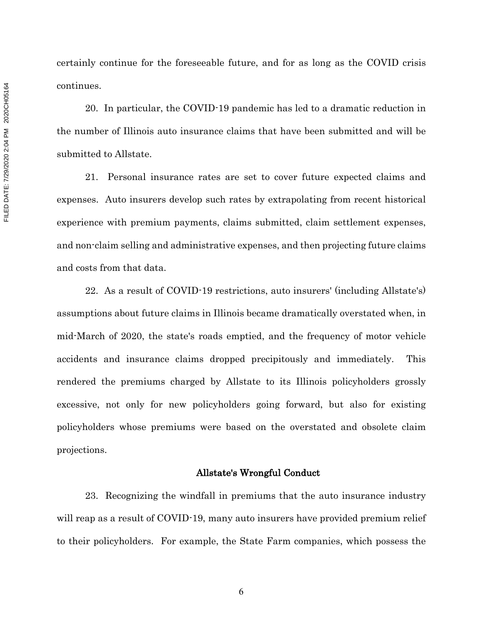certainly continue for the foreseeable future, and for as long as the COVID crisis continues.

20. In particular, the COVID-19 pandemic has led to a dramatic reduction in the number of Illinois auto insurance claims that have been submitted and will be submitted to Allstate.

21. Personal insurance rates are set to cover future expected claims and expenses. Auto insurers develop such rates by extrapolating from recent historical experience with premium payments, claims submitted, claim settlement expenses, and non-claim selling and administrative expenses, and then projecting future claims and costs from that data.

22. As a result of COVID-19 restrictions, auto insurers' (including Allstate's) assumptions about future claims in Illinois became dramatically overstated when, in mid-March of 2020, the state's roads emptied, and the frequency of motor vehicle accidents and insurance claims dropped precipitously and immediately. This rendered the premiums charged by Allstate to its Illinois policyholders grossly excessive, not only for new policyholders going forward, but also for existing policyholders whose premiums were based on the overstated and obsolete claim projections.

### Allstate's Wrongful Conduct

23. Recognizing the windfall in premiums that the auto insurance industry will reap as a result of COVID-19, many auto insurers have provided premium relief to their policyholders. For example, the State Farm companies, which possess the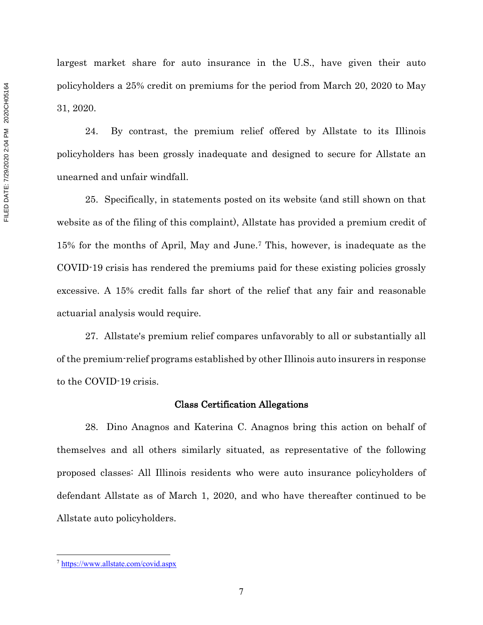largest market share for auto insurance in the U.S., have given their auto policyholders a 25% credit on premiums for the period from March 20, 2020 to May 31, 2020.

24. By contrast, the premium relief offered by Allstate to its Illinois policyholders has been grossly inadequate and designed to secure for Allstate an unearned and unfair windfall.

25. Specifically, in statements posted on its website (and still shown on that website as of the filing of this complaint), Allstate has provided a premium credit of 15% for the months of April, May and June.7 This, however, is inadequate as the COVID-19 crisis has rendered the premiums paid for these existing policies grossly excessive. A 15% credit falls far short of the relief that any fair and reasonable actuarial analysis would require.

27. Allstate's premium relief compares unfavorably to all or substantially all of the premium-relief programs established by other Illinois auto insurers in response to the COVID-19 crisis.

#### Class Certification Allegations

28. Dino Anagnos and Katerina C. Anagnos bring this action on behalf of themselves and all others similarly situated, as representative of the following proposed classes: All Illinois residents who were auto insurance policyholders of defendant Allstate as of March 1, 2020, and who have thereafter continued to be Allstate auto policyholders.

<sup>7</sup> https://www.allstate.com/covid.aspx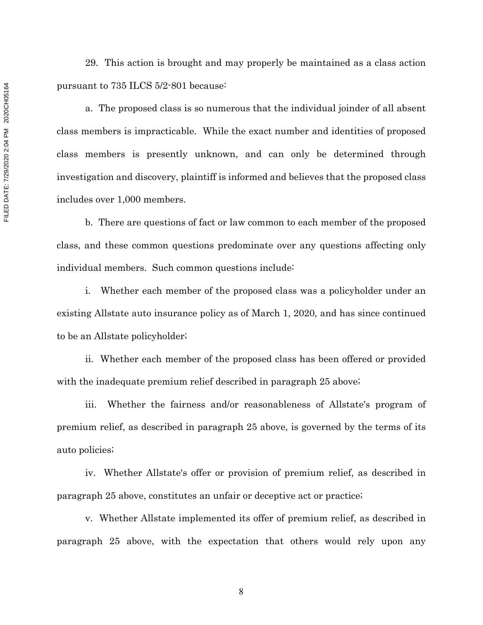29. This action is brought and may properly be maintained as a class action pursuant to 735 ILCS 5/2-801 because:

a. The proposed class is so numerous that the individual joinder of all absent class members is impracticable. While the exact number and identities of proposed class members is presently unknown, and can only be determined through investigation and discovery, plaintiff is informed and believes that the proposed class includes over 1,000 members.

b. There are questions of fact or law common to each member of the proposed class, and these common questions predominate over any questions affecting only individual members. Such common questions include:

i. Whether each member of the proposed class was a policyholder under an existing Allstate auto insurance policy as of March 1, 2020, and has since continued to be an Allstate policyholder;

ii. Whether each member of the proposed class has been offered or provided with the inadequate premium relief described in paragraph 25 above;

iii. Whether the fairness and/or reasonableness of Allstate's program of premium relief, as described in paragraph 25 above, is governed by the terms of its auto policies;

iv. Whether Allstate's offer or provision of premium relief, as described in paragraph 25 above, constitutes an unfair or deceptive act or practice;

v. Whether Allstate implemented its offer of premium relief, as described in paragraph 25 above, with the expectation that others would rely upon any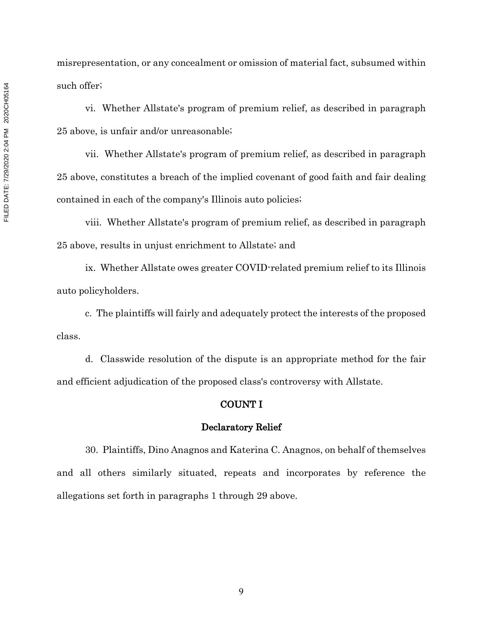misrepresentation, or any concealment or omission of material fact, subsumed within such offer;

vi. Whether Allstate's program of premium relief, as described in paragraph 25 above, is unfair and/or unreasonable;

vii. Whether Allstate's program of premium relief, as described in paragraph 25 above, constitutes a breach of the implied covenant of good faith and fair dealing contained in each of the company's Illinois auto policies;

viii. Whether Allstate's program of premium relief, as described in paragraph 25 above, results in unjust enrichment to Allstate; and

ix. Whether Allstate owes greater COVID-related premium relief to its Illinois auto policyholders.

c. The plaintiffs will fairly and adequately protect the interests of the proposed class.

d. Classwide resolution of the dispute is an appropriate method for the fair and efficient adjudication of the proposed class's controversy with Allstate.

## COUNT I

#### Declaratory Relief

30. Plaintiffs, Dino Anagnos and Katerina C. Anagnos, on behalf of themselves and all others similarly situated, repeats and incorporates by reference the allegations set forth in paragraphs 1 through 29 above.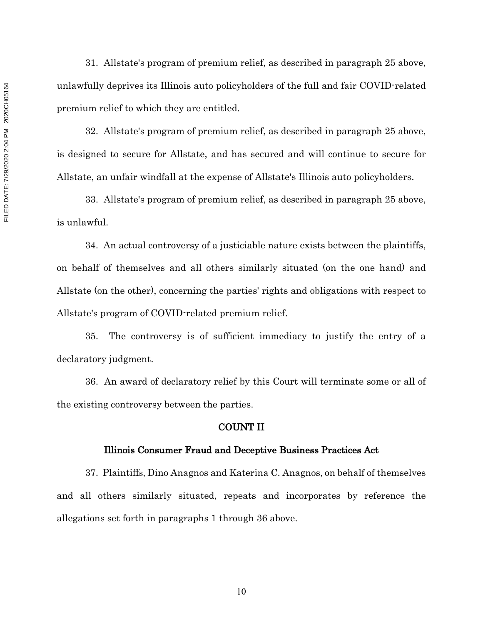31. Allstate's program of premium relief, as described in paragraph 25 above, unlawfully deprives its Illinois auto policyholders of the full and fair COVID-related premium relief to which they are entitled.

32. Allstate's program of premium relief, as described in paragraph 25 above, is designed to secure for Allstate, and has secured and will continue to secure for Allstate, an unfair windfall at the expense of Allstate's Illinois auto policyholders.

33. Allstate's program of premium relief, as described in paragraph 25 above, is unlawful.

34. An actual controversy of a justiciable nature exists between the plaintiffs, on behalf of themselves and all others similarly situated (on the one hand) and Allstate (on the other), concerning the parties' rights and obligations with respect to Allstate's program of COVID-related premium relief.

35. The controversy is of sufficient immediacy to justify the entry of a declaratory judgment.

36. An award of declaratory relief by this Court will terminate some or all of the existing controversy between the parties.

#### COUNT II

#### Illinois Consumer Fraud and Deceptive Business Practices Act

37. Plaintiffs, Dino Anagnos and Katerina C. Anagnos, on behalf of themselves and all others similarly situated, repeats and incorporates by reference the allegations set forth in paragraphs 1 through 36 above.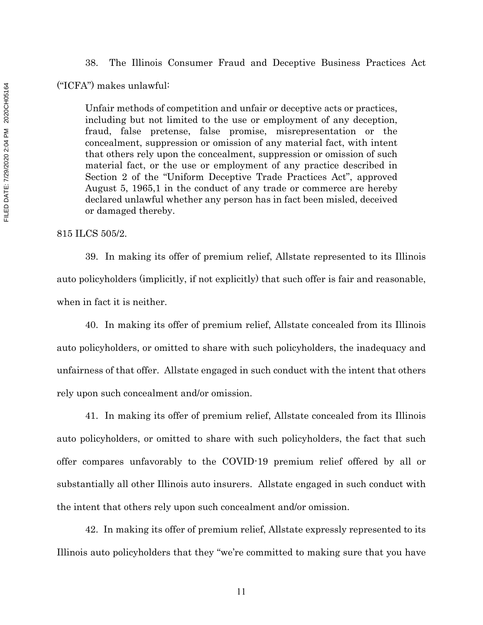38. The Illinois Consumer Fraud and Deceptive Business Practices Act

("ICFA") makes unlawful:

Unfair methods of competition and unfair or deceptive acts or practices, including but not limited to the use or employment of any deception, fraud, false pretense, false promise, misrepresentation or the concealment, suppression or omission of any material fact, with intent that others rely upon the concealment, suppression or omission of such material fact, or the use or employment of any practice described in Section 2 of the "Uniform Deceptive Trade Practices Act", approved August 5, 1965,1 in the conduct of any trade or commerce are hereby declared unlawful whether any person has in fact been misled, deceived or damaged thereby.

#### 815 ILCS 505/2.

39. In making its offer of premium relief, Allstate represented to its Illinois auto policyholders (implicitly, if not explicitly) that such offer is fair and reasonable, when in fact it is neither.

40. In making its offer of premium relief, Allstate concealed from its Illinois auto policyholders, or omitted to share with such policyholders, the inadequacy and unfairness of that offer. Allstate engaged in such conduct with the intent that others rely upon such concealment and/or omission.

41. In making its offer of premium relief, Allstate concealed from its Illinois auto policyholders, or omitted to share with such policyholders, the fact that such offer compares unfavorably to the COVID-19 premium relief offered by all or substantially all other Illinois auto insurers. Allstate engaged in such conduct with the intent that others rely upon such concealment and/or omission.

42. In making its offer of premium relief, Allstate expressly represented to its Illinois auto policyholders that they "we're committed to making sure that you have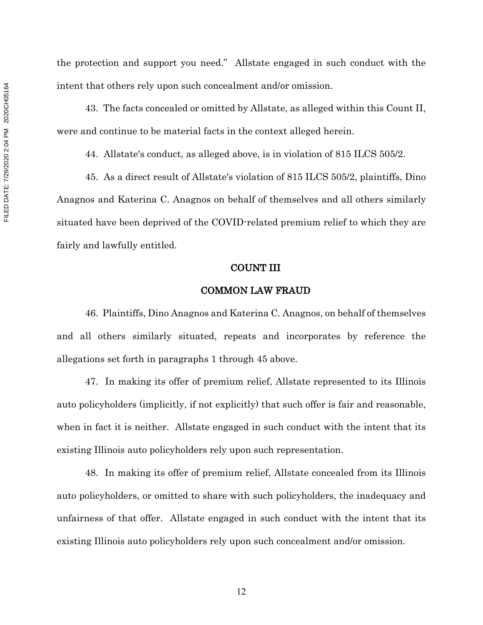the protection and support you need." Allstate engaged in such conduct with the intent that others rely upon such concealment and/or omission.

43. The facts concealed or omitted by Allstate, as alleged within this Count II, were and continue to be material facts in the context alleged herein.

44. Allstate's conduct, as alleged above, is in violation of 815 ILCS 505/2.

45. As a direct result of Allstate's violation of 815 ILCS 505/2, plaintiffs, Dino Anagnos and Katerina C. Anagnos on behalf of themselves and all others similarly situated have been deprived of the COVID-related premium relief to which they are fairly and lawfully entitled.

#### COUNT III

### COMMON LAW FRAUD

46. Plaintiffs, Dino Anagnos and Katerina C. Anagnos, on behalf of themselves and all others similarly situated, repeats and incorporates by reference the allegations set forth in paragraphs 1 through 45 above.

47. In making its offer of premium relief, Allstate represented to its Illinois auto policyholders (implicitly, if not explicitly) that such offer is fair and reasonable, when in fact it is neither. Allstate engaged in such conduct with the intent that its existing Illinois auto policyholders rely upon such representation.

48. In making its offer of premium relief, Allstate concealed from its Illinois auto policyholders, or omitted to share with such policyholders, the inadequacy and unfairness of that offer. Allstate engaged in such conduct with the intent that its existing Illinois auto policyholders rely upon such concealment and/or omission.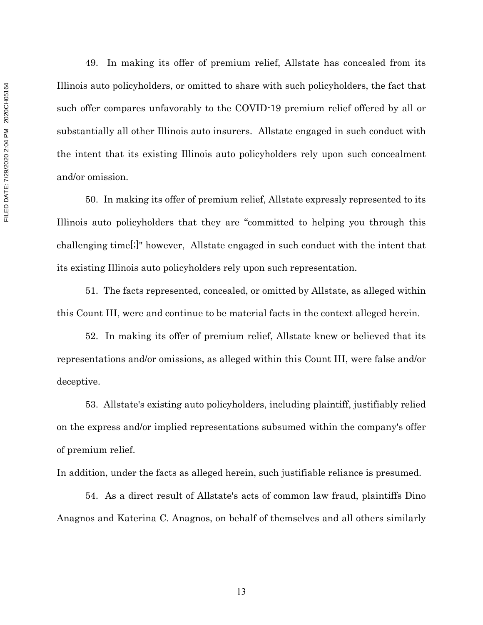49. In making its offer of premium relief, Allstate has concealed from its Illinois auto policyholders, or omitted to share with such policyholders, the fact that such offer compares unfavorably to the COVID-19 premium relief offered by all or substantially all other Illinois auto insurers. Allstate engaged in such conduct with the intent that its existing Illinois auto policyholders rely upon such concealment and/or omission.

50. In making its offer of premium relief, Allstate expressly represented to its Illinois auto policyholders that they are "committed to helping you through this challenging time[;]" however, Allstate engaged in such conduct with the intent that its existing Illinois auto policyholders rely upon such representation.

51. The facts represented, concealed, or omitted by Allstate, as alleged within this Count III, were and continue to be material facts in the context alleged herein.

52. In making its offer of premium relief, Allstate knew or believed that its representations and/or omissions, as alleged within this Count III, were false and/or deceptive.

53. Allstate's existing auto policyholders, including plaintiff, justifiably relied on the express and/or implied representations subsumed within the company's offer of premium relief.

In addition, under the facts as alleged herein, such justifiable reliance is presumed.

54. As a direct result of Allstate's acts of common law fraud, plaintiffs Dino Anagnos and Katerina C. Anagnos, on behalf of themselves and all others similarly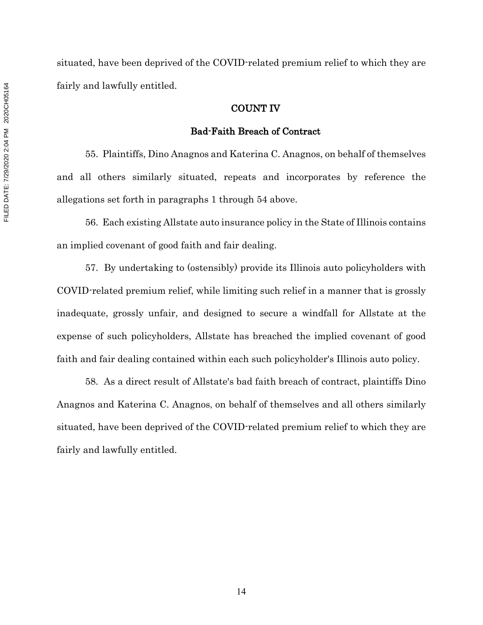situated, have been deprived of the COVID-related premium relief to which they are fairly and lawfully entitled.

### COUNT IV

#### Bad-Faith Breach of Contract

55. Plaintiffs, Dino Anagnos and Katerina C. Anagnos, on behalf of themselves and all others similarly situated, repeats and incorporates by reference the allegations set forth in paragraphs 1 through 54 above.

56. Each existing Allstate auto insurance policy in the State of Illinois contains an implied covenant of good faith and fair dealing.

57. By undertaking to (ostensibly) provide its Illinois auto policyholders with COVID-related premium relief, while limiting such relief in a manner that is grossly inadequate, grossly unfair, and designed to secure a windfall for Allstate at the expense of such policyholders, Allstate has breached the implied covenant of good faith and fair dealing contained within each such policyholder's Illinois auto policy.

58. As a direct result of Allstate's bad faith breach of contract, plaintiffs Dino Anagnos and Katerina C. Anagnos, on behalf of themselves and all others similarly situated, have been deprived of the COVID-related premium relief to which they are fairly and lawfully entitled.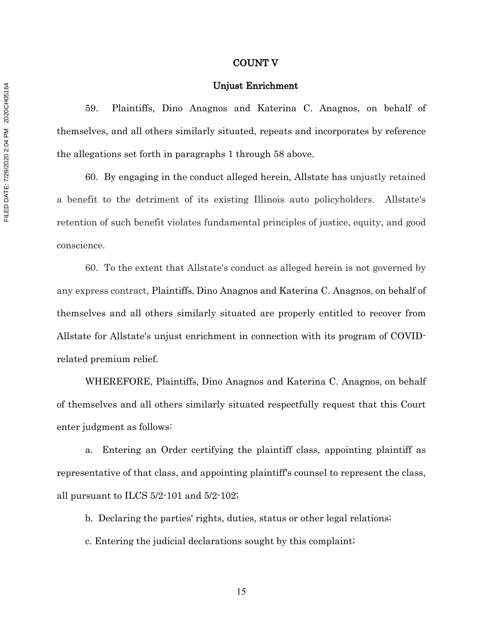#### COUNT V

#### Unjust Enrichment

59. Plaintiffs, Dino Anagnos and Katerina C. Anagnos, on behalf of themselves, and all others similarly situated, repeats and incorporates by reference the allegations set forth in paragraphs 1 through 58 above.

60. By engaging in the conduct alleged herein, Allstate has unjustly retained a benefit to the detriment of its existing Illinois auto policyholders. Allstate's retention of such benefit violates fundamental principles of justice, equity, and good conscience.

60. To the extent that Allstate's conduct as alleged herein is not governed by any express contract, Plaintiffs, Dino Anagnos and Katerina C. Anagnos, on behalf of themselves and all others similarly situated are properly entitled to recover from Allstate for Allstate's unjust enrichment in connection with its program of COVIDrelated premium relief.

WHEREFORE, Plaintiffs, Dino Anagnos and Katerina C. Anagnos, on behalf of themselves and all others similarly situated respectfully request that this Court enter judgment as follows:

a. Entering an Order certifying the plaintiff class, appointing plaintiff as representative of that class, and appointing plaintiff's counsel to represent the class, all pursuant to ILCS 5/2-101 and 5/2-102;

b. Declaring the parties' rights, duties, status or other legal relations;

c. Entering the judicial declarations sought by this complaint;

FILED DATE: 7/29/2020 2:04 PM 2020CH05164 FILED DATE: 7/29/2020 2:04 PM 2020CH05164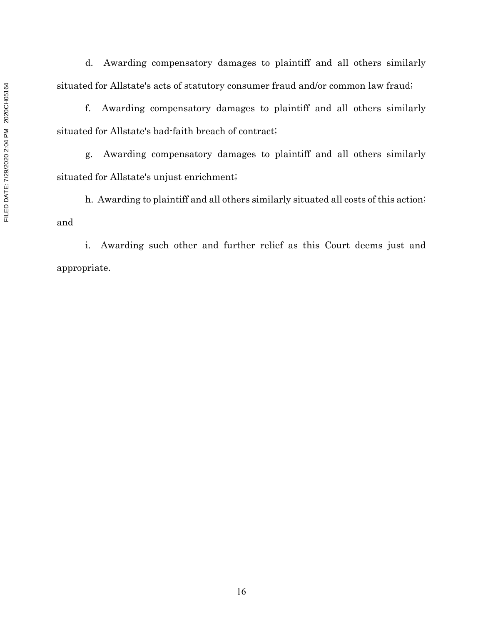d. Awarding compensatory damages to plaintiff and all others similarly situated for Allstate's acts of statutory consumer fraud and/or common law fraud;

f. Awarding compensatory damages to plaintiff and all others similarly situated for Allstate's bad-faith breach of contract;

g. Awarding compensatory damages to plaintiff and all others similarly situated for Allstate's unjust enrichment;

h. Awarding to plaintiff and all others similarly situated all costs of this action; and

i. Awarding such other and further relief as this Court deems just and appropriate.